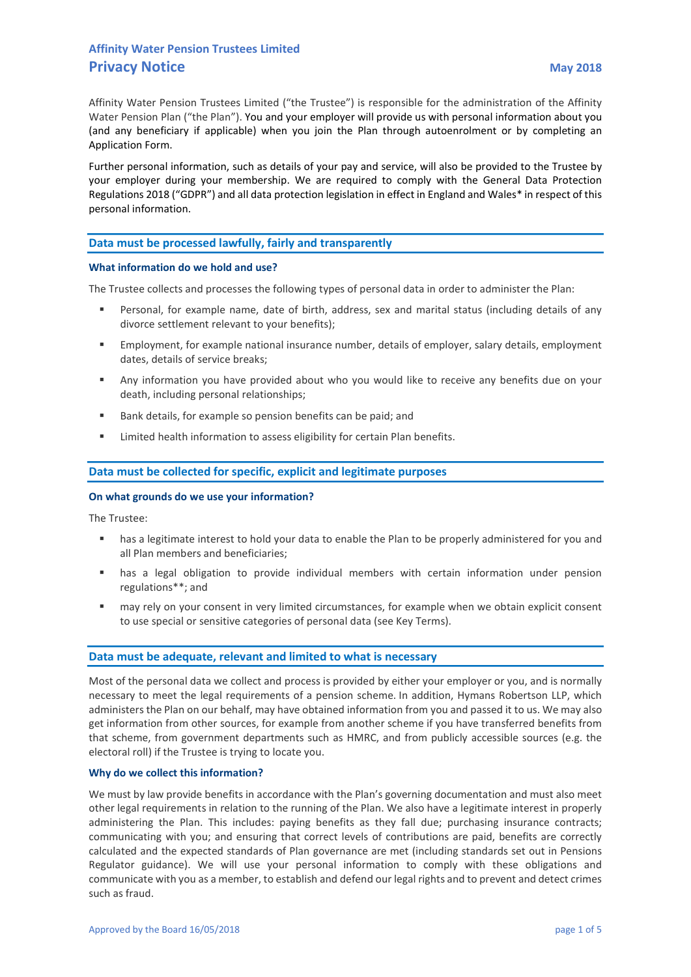Affinity Water Pension Trustees Limited ("the Trustee") is responsible for the administration of the Affinity Water Pension Plan ("the Plan"). You and your employer will provide us with personal information about you (and any beneficiary if applicable) when you join the Plan through autoenrolment or by completing an Application Form.

Further personal information, such as details of your pay and service, will also be provided to the Trustee by your employer during your membership. We are required to comply with the General Data Protection Regulations 2018 ("GDPR") and all data protection legislation in effect in England and Wales\* in respect of this personal information.

# Data must be processed lawfully, fairly and transparently

### What information do we hold and use?

The Trustee collects and processes the following types of personal data in order to administer the Plan:

- Personal, for example name, date of birth, address, sex and marital status (including details of any divorce settlement relevant to your benefits);
- Employment, for example national insurance number, details of employer, salary details, employment dates, details of service breaks;
- Any information you have provided about who you would like to receive any benefits due on your death, including personal relationships;
- Bank details, for example so pension benefits can be paid; and
- Limited health information to assess eligibility for certain Plan benefits.

# Data must be collected for specific, explicit and legitimate purposes

#### On what grounds do we use your information?

The Trustee:

- has a legitimate interest to hold your data to enable the Plan to be properly administered for you and all Plan members and beneficiaries;
- has a legal obligation to provide individual members with certain information under pension regulations\*\*; and
- may rely on your consent in very limited circumstances, for example when we obtain explicit consent to use special or sensitive categories of personal data (see Key Terms).

# Data must be adequate, relevant and limited to what is necessary

Most of the personal data we collect and process is provided by either your employer or you, and is normally necessary to meet the legal requirements of a pension scheme. In addition, Hymans Robertson LLP, which administers the Plan on our behalf, may have obtained information from you and passed it to us. We may also get information from other sources, for example from another scheme if you have transferred benefits from that scheme, from government departments such as HMRC, and from publicly accessible sources (e.g. the electoral roll) if the Trustee is trying to locate you.

# Why do we collect this information?

We must by law provide benefits in accordance with the Plan's governing documentation and must also meet other legal requirements in relation to the running of the Plan. We also have a legitimate interest in properly administering the Plan. This includes: paying benefits as they fall due; purchasing insurance contracts; communicating with you; and ensuring that correct levels of contributions are paid, benefits are correctly calculated and the expected standards of Plan governance are met (including standards set out in Pensions Regulator guidance). We will use your personal information to comply with these obligations and communicate with you as a member, to establish and defend our legal rights and to prevent and detect crimes such as fraud.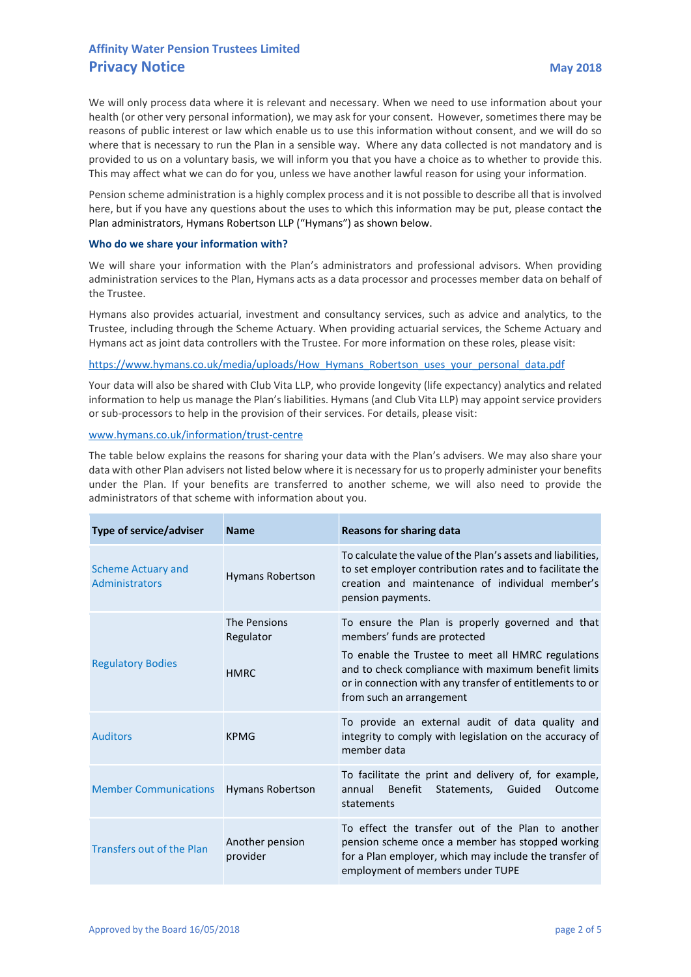We will only process data where it is relevant and necessary. When we need to use information about your health (or other very personal information), we may ask for your consent. However, sometimes there may be reasons of public interest or law which enable us to use this information without consent, and we will do so where that is necessary to run the Plan in a sensible way. Where any data collected is not mandatory and is provided to us on a voluntary basis, we will inform you that you have a choice as to whether to provide this. This may affect what we can do for you, unless we have another lawful reason for using your information.

Pension scheme administration is a highly complex process and it is not possible to describe all that is involved here, but if you have any questions about the uses to which this information may be put, please contact the Plan administrators, Hymans Robertson LLP ("Hymans") as shown below.

# Who do we share your information with?

We will share your information with the Plan's administrators and professional advisors. When providing administration services to the Plan, Hymans acts as a data processor and processes member data on behalf of the Trustee.

Hymans also provides actuarial, investment and consultancy services, such as advice and analytics, to the Trustee, including through the Scheme Actuary. When providing actuarial services, the Scheme Actuary and Hymans act as joint data controllers with the Trustee. For more information on these roles, please visit:

# https://www.hymans.co.uk/media/uploads/How\_Hymans\_Robertson\_uses\_your\_personal\_data.pdf

Your data will also be shared with Club Vita LLP, who provide longevity (life expectancy) analytics and related information to help us manage the Plan's liabilities. Hymans (and Club Vita LLP) may appoint service providers or sub-processors to help in the provision of their services. For details, please visit:

# www.hymans.co.uk/information/trust-centre

The table below explains the reasons for sharing your data with the Plan's advisers. We may also share your data with other Plan advisers not listed below where it is necessary for us to properly administer your benefits under the Plan. If your benefits are transferred to another scheme, we will also need to provide the administrators of that scheme with information about you.

| Type of service/adviser                     | <b>Name</b>                              | <b>Reasons for sharing data</b>                                                                                                                                                                                                                                                       |
|---------------------------------------------|------------------------------------------|---------------------------------------------------------------------------------------------------------------------------------------------------------------------------------------------------------------------------------------------------------------------------------------|
| <b>Scheme Actuary and</b><br>Administrators | <b>Hymans Robertson</b>                  | To calculate the value of the Plan's assets and liabilities,<br>to set employer contribution rates and to facilitate the<br>creation and maintenance of individual member's<br>pension payments.                                                                                      |
| <b>Regulatory Bodies</b>                    | The Pensions<br>Regulator<br><b>HMRC</b> | To ensure the Plan is properly governed and that<br>members' funds are protected<br>To enable the Trustee to meet all HMRC regulations<br>and to check compliance with maximum benefit limits<br>or in connection with any transfer of entitlements to or<br>from such an arrangement |
| <b>Auditors</b>                             | <b>KPMG</b>                              | To provide an external audit of data quality and<br>integrity to comply with legislation on the accuracy of<br>member data                                                                                                                                                            |
| <b>Member Communications</b>                | <b>Hymans Robertson</b>                  | To facilitate the print and delivery of, for example,<br><b>Benefit</b><br>Statements,<br>Guided<br>annual<br>Outcome<br>statements                                                                                                                                                   |
| <b>Transfers out of the Plan</b>            | Another pension<br>provider              | To effect the transfer out of the Plan to another<br>pension scheme once a member has stopped working<br>for a Plan employer, which may include the transfer of<br>employment of members under TUPE                                                                                   |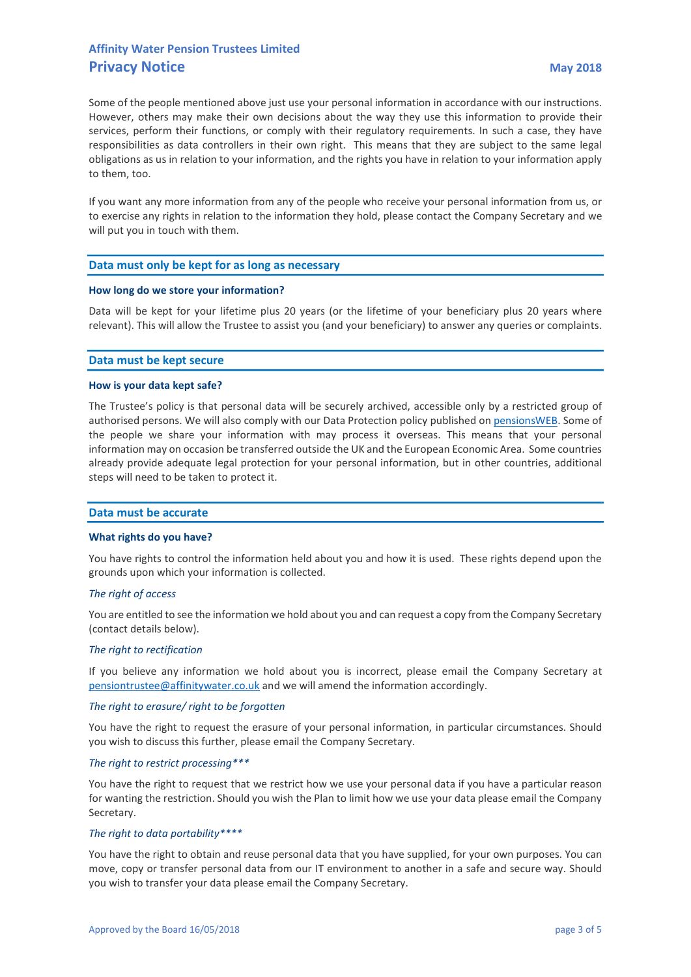Some of the people mentioned above just use your personal information in accordance with our instructions. However, others may make their own decisions about the way they use this information to provide their services, perform their functions, or comply with their regulatory requirements. In such a case, they have responsibilities as data controllers in their own right. This means that they are subject to the same legal obligations as us in relation to your information, and the rights you have in relation to your information apply to them, too.

If you want any more information from any of the people who receive your personal information from us, or to exercise any rights in relation to the information they hold, please contact the Company Secretary and we will put you in touch with them.

# Data must only be kept for as long as necessary

# How long do we store your information?

Data will be kept for your lifetime plus 20 years (or the lifetime of your beneficiary plus 20 years where relevant). This will allow the Trustee to assist you (and your beneficiary) to answer any queries or complaints.

# Data must be kept secure

# How is your data kept safe?

The Trustee's policy is that personal data will be securely archived, accessible only by a restricted group of authorised persons. We will also comply with our Data Protection policy published on pensionsWEB. Some of the people we share your information with may process it overseas. This means that your personal information may on occasion be transferred outside the UK and the European Economic Area. Some countries already provide adequate legal protection for your personal information, but in other countries, additional steps will need to be taken to protect it.

# Data must be accurate

#### What rights do you have?

You have rights to control the information held about you and how it is used. These rights depend upon the grounds upon which your information is collected.

# The right of access

You are entitled to see the information we hold about you and can request a copy from the Company Secretary (contact details below).

#### The right to rectification

If you believe any information we hold about you is incorrect, please email the Company Secretary at pensiontrustee@affinitywater.co.uk and we will amend the information accordingly.

# The right to erasure/ right to be forgotten

You have the right to request the erasure of your personal information, in particular circumstances. Should you wish to discuss this further, please email the Company Secretary.

#### The right to restrict processing\*\*\*

You have the right to request that we restrict how we use your personal data if you have a particular reason for wanting the restriction. Should you wish the Plan to limit how we use your data please email the Company Secretary.

# The right to data portability\*\*\*\*

You have the right to obtain and reuse personal data that you have supplied, for your own purposes. You can move, copy or transfer personal data from our IT environment to another in a safe and secure way. Should you wish to transfer your data please email the Company Secretary.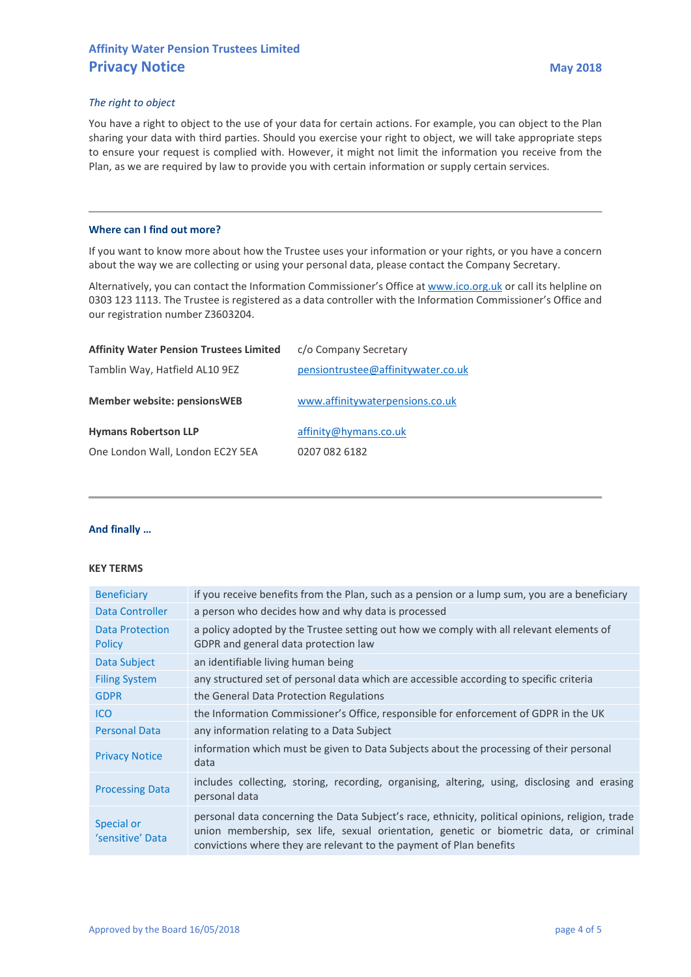# The right to object

You have a right to object to the use of your data for certain actions. For example, you can object to the Plan sharing your data with third parties. Should you exercise your right to object, we will take appropriate steps to ensure your request is complied with. However, it might not limit the information you receive from the Plan, as we are required by law to provide you with certain information or supply certain services.

# Where can I find out more?

If you want to know more about how the Trustee uses your information or your rights, or you have a concern about the way we are collecting or using your personal data, please contact the Company Secretary.

Alternatively, you can contact the Information Commissioner's Office at www.ico.org.uk or call its helpline on 0303 123 1113. The Trustee is registered as a data controller with the Information Commissioner's Office and our registration number Z3603204.

| <b>Affinity Water Pension Trustees Limited</b> | c/o Company Secretary              |
|------------------------------------------------|------------------------------------|
| Tamblin Way, Hatfield AL10 9EZ                 | pensiontrustee@affinitywater.co.uk |
| <b>Member website: pensionsWEB</b>             | www.affinitywaterpensions.co.uk    |
| <b>Hymans Robertson LLP</b>                    | affinity@hymans.co.uk              |
| One London Wall, London EC2Y 5EA               | 0207 082 6182                      |

# And finally …

# KEY TERMS

| <b>Beneficiary</b>                      | if you receive benefits from the Plan, such as a pension or a lump sum, you are a beneficiary                                                                                                                                                                     |
|-----------------------------------------|-------------------------------------------------------------------------------------------------------------------------------------------------------------------------------------------------------------------------------------------------------------------|
| Data Controller                         | a person who decides how and why data is processed                                                                                                                                                                                                                |
| <b>Data Protection</b><br><b>Policy</b> | a policy adopted by the Trustee setting out how we comply with all relevant elements of<br>GDPR and general data protection law                                                                                                                                   |
| Data Subject                            | an identifiable living human being                                                                                                                                                                                                                                |
| <b>Filing System</b>                    | any structured set of personal data which are accessible according to specific criteria                                                                                                                                                                           |
| <b>GDPR</b>                             | the General Data Protection Regulations                                                                                                                                                                                                                           |
| <b>ICO</b>                              | the Information Commissioner's Office, responsible for enforcement of GDPR in the UK                                                                                                                                                                              |
| <b>Personal Data</b>                    | any information relating to a Data Subject                                                                                                                                                                                                                        |
| <b>Privacy Notice</b>                   | information which must be given to Data Subjects about the processing of their personal<br>data                                                                                                                                                                   |
| <b>Processing Data</b>                  | includes collecting, storing, recording, organising, altering, using, disclosing and erasing<br>personal data                                                                                                                                                     |
| Special or<br>'sensitive' Data          | personal data concerning the Data Subject's race, ethnicity, political opinions, religion, trade<br>union membership, sex life, sexual orientation, genetic or biometric data, or criminal<br>convictions where they are relevant to the payment of Plan benefits |